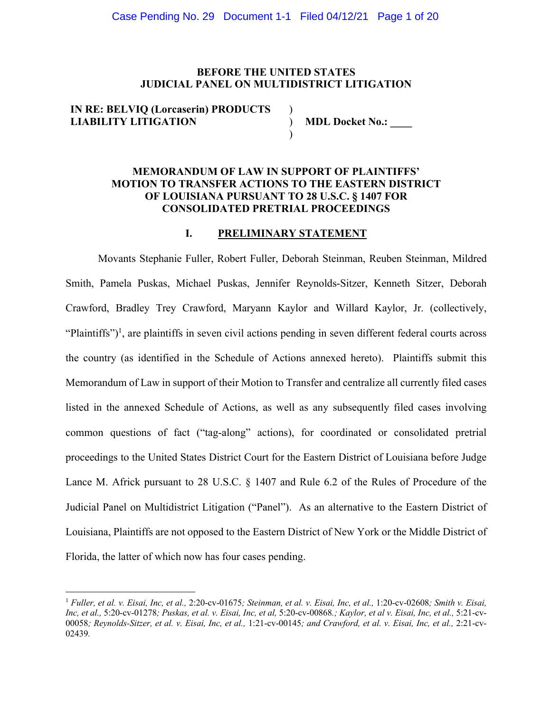### **BEFORE THE UNITED STATES JUDICIAL PANEL ON MULTIDISTRICT LITIGATION**

) ) )

# **IN RE: BELVIQ (Lorcaserin) PRODUCTS LIABILITY LITIGATION**

**MDL Docket No.: \_\_\_\_**

## **MEMORANDUM OF LAW IN SUPPORT OF PLAINTIFFS' MOTION TO TRANSFER ACTIONS TO THE EASTERN DISTRICT OF LOUISIANA PURSUANT TO 28 U.S.C. § 1407 FOR CONSOLIDATED PRETRIAL PROCEEDINGS**

## **I. PRELIMINARY STATEMENT**

Movants Stephanie Fuller, Robert Fuller, Deborah Steinman, Reuben Steinman, Mildred Smith, Pamela Puskas, Michael Puskas, Jennifer Reynolds-Sitzer, Kenneth Sitzer, Deborah Crawford, Bradley Trey Crawford, Maryann Kaylor and Willard Kaylor, Jr. (collectively, "Plaintiffs")<sup>1</sup>, are plaintiffs in seven civil actions pending in seven different federal courts across the country (as identified in the Schedule of Actions annexed hereto). Plaintiffs submit this Memorandum of Law in support of their Motion to Transfer and centralize all currently filed cases listed in the annexed Schedule of Actions, as well as any subsequently filed cases involving common questions of fact ("tag-along" actions), for coordinated or consolidated pretrial proceedings to the United States District Court for the Eastern District of Louisiana before Judge Lance M. Africk pursuant to 28 U.S.C. § 1407 and Rule 6.2 of the Rules of Procedure of the Judicial Panel on Multidistrict Litigation ("Panel"). As an alternative to the Eastern District of Louisiana, Plaintiffs are not opposed to the Eastern District of New York or the Middle District of Florida, the latter of which now has four cases pending.

<sup>1</sup> *Fuller, et al. v. Eisai, Inc, et al.,* 2:20-cv-01675*; Steinman, et al. v. Eisai, Inc, et al.,* 1:20-cv-02608*; Smith v. Eisai, Inc, et al.,* 5:20-cv-01278*; Puskas, et al. v. Eisai, Inc, et al,* 5:20-cv-00868*.; Kaylor, et al v. Eisai, Inc, et al.,* 5:21-cv-00058*; Reynolds-Sitzer, et al. v. Eisai, Inc, et al.,* 1:21-cv-00145*; and Crawford, et al. v. Eisai, Inc, et al.,* 2:21-cv-02439*.*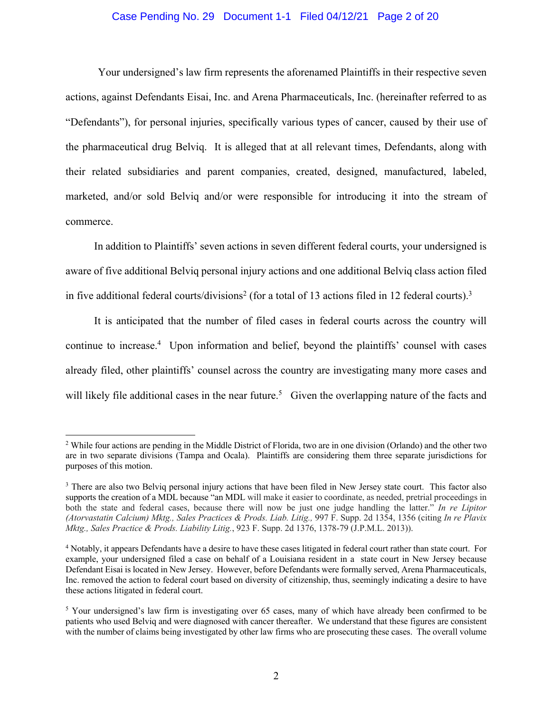#### Case Pending No. 29 Document 1-1 Filed 04/12/21 Page 2 of 20

Your undersigned's law firm represents the aforenamed Plaintiffs in their respective seven actions, against Defendants Eisai, Inc. and Arena Pharmaceuticals, Inc. (hereinafter referred to as "Defendants"), for personal injuries, specifically various types of cancer, caused by their use of the pharmaceutical drug Belviq. It is alleged that at all relevant times, Defendants, along with their related subsidiaries and parent companies, created, designed, manufactured, labeled, marketed, and/or sold Belviq and/or were responsible for introducing it into the stream of commerce.

In addition to Plaintiffs' seven actions in seven different federal courts, your undersigned is aware of five additional Belviq personal injury actions and one additional Belviq class action filed in five additional federal courts/divisions<sup>2</sup> (for a total of 13 actions filed in 12 federal courts).<sup>3</sup>

It is anticipated that the number of filed cases in federal courts across the country will continue to increase.<sup>4</sup> Upon information and belief, beyond the plaintiffs' counsel with cases already filed, other plaintiffs' counsel across the country are investigating many more cases and will likely file additional cases in the near future.<sup>5</sup> Given the overlapping nature of the facts and

<sup>&</sup>lt;sup>2</sup> While four actions are pending in the Middle District of Florida, two are in one division (Orlando) and the other two are in two separate divisions (Tampa and Ocala). Plaintiffs are considering them three separate jurisdictions for purposes of this motion.

<sup>&</sup>lt;sup>3</sup> There are also two Belviq personal injury actions that have been filed in New Jersey state court. This factor also supports the creation of a MDL because "an MDL will make it easier to coordinate, as needed, pretrial proceedings in both the state and federal cases, because there will now be just one judge handling the latter." *In re Lipitor (Atorvastatin Calcium) Mktg., Sales Practices & Prods. Liab. Litig.,* 997 F. Supp. 2d 1354, 1356 (citing *In re Plavix Mktg., Sales Practice & Prods. Liability Litig.*, 923 F. Supp. 2d 1376, 1378-79 (J.P.M.L. 2013)).

<sup>4</sup> Notably, it appears Defendants have a desire to have these cases litigated in federal court rather than state court. For example, your undersigned filed a case on behalf of a Louisiana resident in a state court in New Jersey because Defendant Eisai is located in New Jersey. However, before Defendants were formally served, Arena Pharmaceuticals, Inc. removed the action to federal court based on diversity of citizenship, thus, seemingly indicating a desire to have these actions litigated in federal court.

<sup>&</sup>lt;sup>5</sup> Your undersigned's law firm is investigating over 65 cases, many of which have already been confirmed to be patients who used Belviq and were diagnosed with cancer thereafter. We understand that these figures are consistent with the number of claims being investigated by other law firms who are prosecuting these cases. The overall volume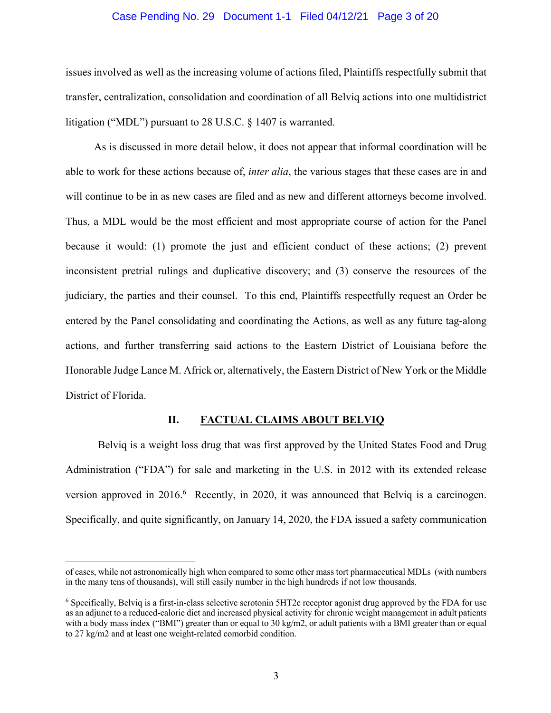#### Case Pending No. 29 Document 1-1 Filed 04/12/21 Page 3 of 20

issues involved as well as the increasing volume of actions filed, Plaintiffs respectfully submit that transfer, centralization, consolidation and coordination of all Belviq actions into one multidistrict litigation ("MDL") pursuant to 28 U.S.C. § 1407 is warranted.

As is discussed in more detail below, it does not appear that informal coordination will be able to work for these actions because of, *inter alia*, the various stages that these cases are in and will continue to be in as new cases are filed and as new and different attorneys become involved. Thus, a MDL would be the most efficient and most appropriate course of action for the Panel because it would: (1) promote the just and efficient conduct of these actions; (2) prevent inconsistent pretrial rulings and duplicative discovery; and (3) conserve the resources of the judiciary, the parties and their counsel. To this end, Plaintiffs respectfully request an Order be entered by the Panel consolidating and coordinating the Actions, as well as any future tag-along actions, and further transferring said actions to the Eastern District of Louisiana before the Honorable Judge Lance M. Africk or, alternatively, the Eastern District of New York or the Middle District of Florida.

### **II. FACTUAL CLAIMS ABOUT BELVIQ**

Belviq is a weight loss drug that was first approved by the United States Food and Drug Administration ("FDA") for sale and marketing in the U.S. in 2012 with its extended release version approved in 2016.<sup>6</sup> Recently, in 2020, it was announced that Belviq is a carcinogen. Specifically, and quite significantly, on January 14, 2020, the FDA issued a safety communication

of cases, while not astronomically high when compared to some other mass tort pharmaceutical MDLs (with numbers in the many tens of thousands), will still easily number in the high hundreds if not low thousands.

<sup>6</sup> Specifically, Belviq is a first-in-class selective serotonin 5HT2c receptor agonist drug approved by the FDA for use as an adjunct to a reduced-calorie diet and increased physical activity for chronic weight management in adult patients with a body mass index ("BMI") greater than or equal to 30 kg/m2, or adult patients with a BMI greater than or equal to 27 kg/m2 and at least one weight-related comorbid condition.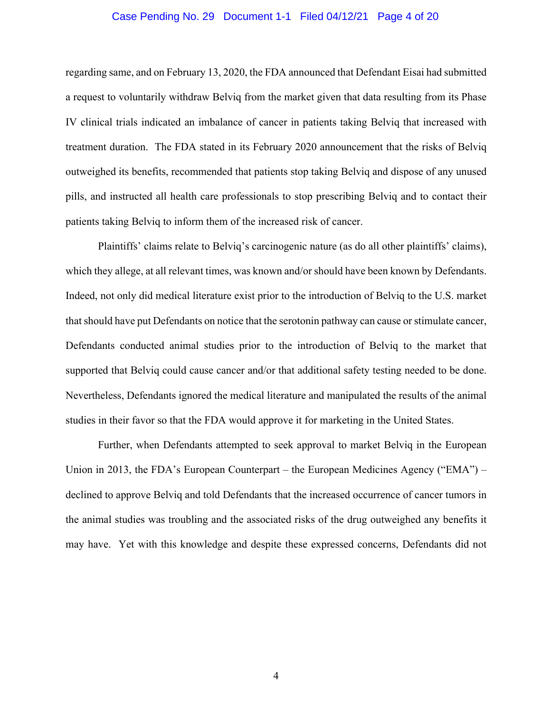#### Case Pending No. 29 Document 1-1 Filed 04/12/21 Page 4 of 20

regarding same, and on February 13, 2020, the FDA announced that Defendant Eisai had submitted a request to voluntarily withdraw Belviq from the market given that data resulting from its Phase IV clinical trials indicated an imbalance of cancer in patients taking Belviq that increased with treatment duration. The FDA stated in its February 2020 announcement that the risks of Belviq outweighed its benefits, recommended that patients stop taking Belviq and dispose of any unused pills, and instructed all health care professionals to stop prescribing Belviq and to contact their patients taking Belviq to inform them of the increased risk of cancer.

Plaintiffs' claims relate to Belviq's carcinogenic nature (as do all other plaintiffs' claims), which they allege, at all relevant times, was known and/or should have been known by Defendants. Indeed, not only did medical literature exist prior to the introduction of Belviq to the U.S. market that should have put Defendants on notice that the serotonin pathway can cause or stimulate cancer, Defendants conducted animal studies prior to the introduction of Belviq to the market that supported that Belviq could cause cancer and/or that additional safety testing needed to be done. Nevertheless, Defendants ignored the medical literature and manipulated the results of the animal studies in their favor so that the FDA would approve it for marketing in the United States.

Further, when Defendants attempted to seek approval to market Belviq in the European Union in 2013, the FDA's European Counterpart – the European Medicines Agency ("EMA") – declined to approve Belviq and told Defendants that the increased occurrence of cancer tumors in the animal studies was troubling and the associated risks of the drug outweighed any benefits it may have. Yet with this knowledge and despite these expressed concerns, Defendants did not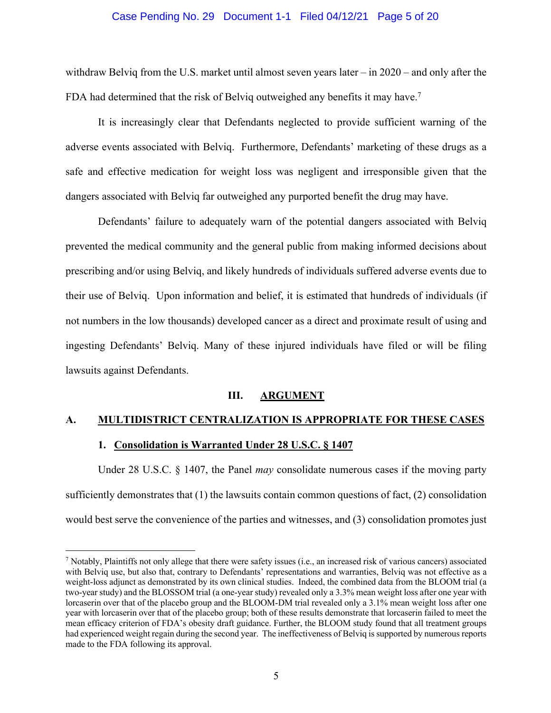#### Case Pending No. 29 Document 1-1 Filed 04/12/21 Page 5 of 20

withdraw Belviq from the U.S. market until almost seven years later – in 2020 – and only after the FDA had determined that the risk of Belviq outweighed any benefits it may have.<sup>7</sup>

It is increasingly clear that Defendants neglected to provide sufficient warning of the adverse events associated with Belviq. Furthermore, Defendants' marketing of these drugs as a safe and effective medication for weight loss was negligent and irresponsible given that the dangers associated with Belviq far outweighed any purported benefit the drug may have.

Defendants' failure to adequately warn of the potential dangers associated with Belviq prevented the medical community and the general public from making informed decisions about prescribing and/or using Belviq, and likely hundreds of individuals suffered adverse events due to their use of Belviq. Upon information and belief, it is estimated that hundreds of individuals (if not numbers in the low thousands) developed cancer as a direct and proximate result of using and ingesting Defendants' Belviq. Many of these injured individuals have filed or will be filing lawsuits against Defendants.

### **III. ARGUMENT**

### **A. MULTIDISTRICT CENTRALIZATION IS APPROPRIATE FOR THESE CASES**

#### **1. Consolidation is Warranted Under 28 U.S.C. § 1407**

Under 28 U.S.C. § 1407, the Panel *may* consolidate numerous cases if the moving party sufficiently demonstrates that (1) the lawsuits contain common questions of fact, (2) consolidation would best serve the convenience of the parties and witnesses, and (3) consolidation promotes just

<sup>7</sup> Notably, Plaintiffs not only allege that there were safety issues (i.e., an increased risk of various cancers) associated with Belviq use, but also that, contrary to Defendants' representations and warranties, Belviq was not effective as a weight-loss adjunct as demonstrated by its own clinical studies. Indeed, the combined data from the BLOOM trial (a two-year study) and the BLOSSOM trial (a one-year study) revealed only a 3.3% mean weight loss after one year with lorcaserin over that of the placebo group and the BLOOM-DM trial revealed only a 3.1% mean weight loss after one year with lorcaserin over that of the placebo group; both of these results demonstrate that lorcaserin failed to meet the mean efficacy criterion of FDA's obesity draft guidance. Further, the BLOOM study found that all treatment groups had experienced weight regain during the second year. The ineffectiveness of Belviq is supported by numerous reports made to the FDA following its approval.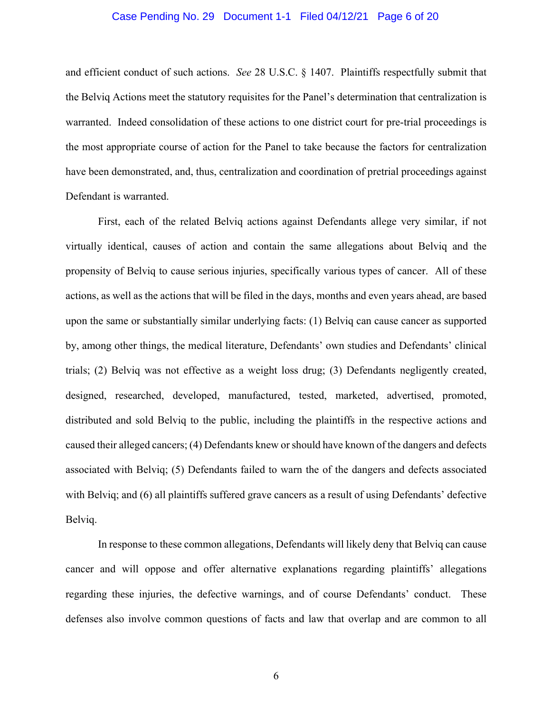#### Case Pending No. 29 Document 1-1 Filed 04/12/21 Page 6 of 20

and efficient conduct of such actions. *See* 28 U.S.C. § 1407. Plaintiffs respectfully submit that the Belviq Actions meet the statutory requisites for the Panel's determination that centralization is warranted. Indeed consolidation of these actions to one district court for pre-trial proceedings is the most appropriate course of action for the Panel to take because the factors for centralization have been demonstrated, and, thus, centralization and coordination of pretrial proceedings against Defendant is warranted.

First, each of the related Belviq actions against Defendants allege very similar, if not virtually identical, causes of action and contain the same allegations about Belviq and the propensity of Belviq to cause serious injuries, specifically various types of cancer. All of these actions, as well as the actions that will be filed in the days, months and even years ahead, are based upon the same or substantially similar underlying facts: (1) Belviq can cause cancer as supported by, among other things, the medical literature, Defendants' own studies and Defendants' clinical trials; (2) Belviq was not effective as a weight loss drug; (3) Defendants negligently created, designed, researched, developed, manufactured, tested, marketed, advertised, promoted, distributed and sold Belviq to the public, including the plaintiffs in the respective actions and caused their alleged cancers; (4) Defendants knew or should have known of the dangers and defects associated with Belviq; (5) Defendants failed to warn the of the dangers and defects associated with Belviq; and (6) all plaintiffs suffered grave cancers as a result of using Defendants' defective Belviq.

In response to these common allegations, Defendants will likely deny that Belviq can cause cancer and will oppose and offer alternative explanations regarding plaintiffs' allegations regarding these injuries, the defective warnings, and of course Defendants' conduct. These defenses also involve common questions of facts and law that overlap and are common to all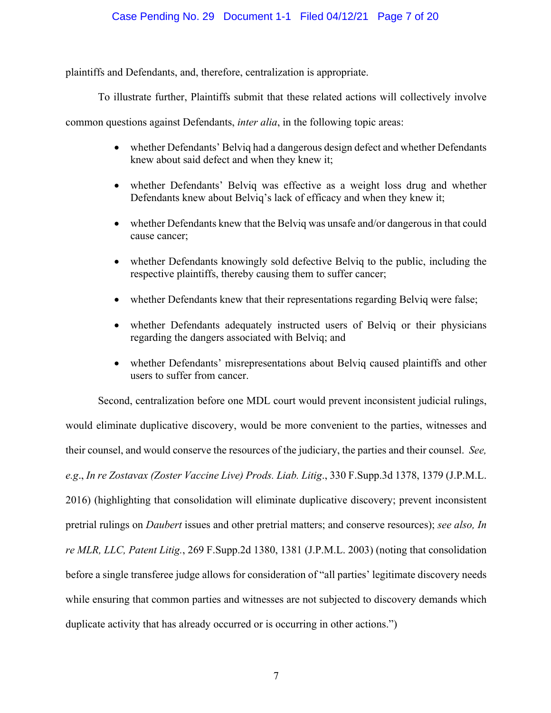## Case Pending No. 29 Document 1-1 Filed 04/12/21 Page 7 of 20

plaintiffs and Defendants, and, therefore, centralization is appropriate.

To illustrate further, Plaintiffs submit that these related actions will collectively involve

common questions against Defendants, *inter alia*, in the following topic areas:

- whether Defendants' Belviq had a dangerous design defect and whether Defendants knew about said defect and when they knew it;
- whether Defendants' Belviq was effective as a weight loss drug and whether Defendants knew about Belviq's lack of efficacy and when they knew it;
- whether Defendants knew that the Belvig was unsafe and/or dangerous in that could cause cancer;
- whether Defendants knowingly sold defective Belviq to the public, including the respective plaintiffs, thereby causing them to suffer cancer;
- whether Defendants knew that their representations regarding Belviq were false;
- whether Defendants adequately instructed users of Belviq or their physicians regarding the dangers associated with Belviq; and
- whether Defendants' misrepresentations about Belviq caused plaintiffs and other users to suffer from cancer.

Second, centralization before one MDL court would prevent inconsistent judicial rulings, would eliminate duplicative discovery, would be more convenient to the parties, witnesses and their counsel, and would conserve the resources of the judiciary, the parties and their counsel. *See, e.g*., *In re Zostavax (Zoster Vaccine Live) Prods. Liab. Litig*., 330 F.Supp.3d 1378, 1379 (J.P.M.L. 2016) (highlighting that consolidation will eliminate duplicative discovery; prevent inconsistent pretrial rulings on *Daubert* issues and other pretrial matters; and conserve resources); *see also, In re MLR, LLC, Patent Litig.*, 269 F.Supp.2d 1380, 1381 (J.P.M.L. 2003) (noting that consolidation before a single transferee judge allows for consideration of "all parties' legitimate discovery needs while ensuring that common parties and witnesses are not subjected to discovery demands which duplicate activity that has already occurred or is occurring in other actions.")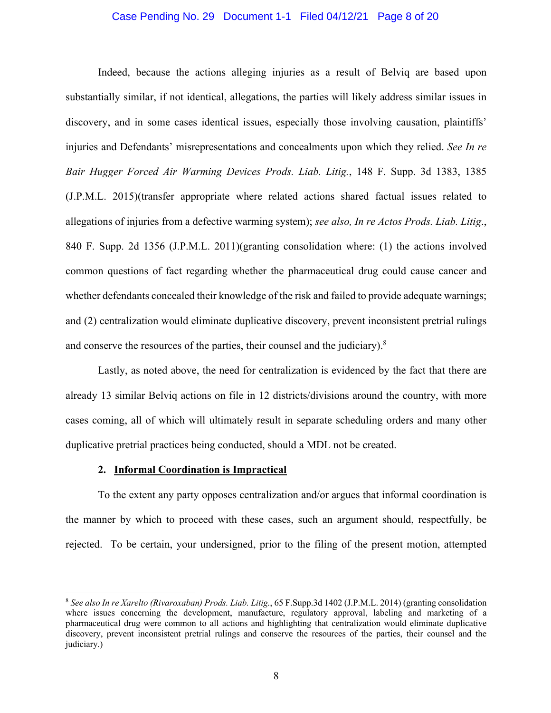#### Case Pending No. 29 Document 1-1 Filed 04/12/21 Page 8 of 20

Indeed, because the actions alleging injuries as a result of Belviq are based upon substantially similar, if not identical, allegations, the parties will likely address similar issues in discovery, and in some cases identical issues, especially those involving causation, plaintiffs' injuries and Defendants' misrepresentations and concealments upon which they relied. *See In re Bair Hugger Forced Air Warming Devices Prods. Liab. Litig.*, 148 F. Supp. 3d 1383, 1385 (J.P.M.L. 2015)(transfer appropriate where related actions shared factual issues related to allegations of injuries from a defective warming system); *see also, In re Actos Prods. Liab. Litig*., 840 F. Supp. 2d 1356 (J.P.M.L. 2011)(granting consolidation where: (1) the actions involved common questions of fact regarding whether the pharmaceutical drug could cause cancer and whether defendants concealed their knowledge of the risk and failed to provide adequate warnings; and (2) centralization would eliminate duplicative discovery, prevent inconsistent pretrial rulings and conserve the resources of the parties, their counsel and the judiciary).<sup>8</sup>

Lastly, as noted above, the need for centralization is evidenced by the fact that there are already 13 similar Belviq actions on file in 12 districts/divisions around the country, with more cases coming, all of which will ultimately result in separate scheduling orders and many other duplicative pretrial practices being conducted, should a MDL not be created.

# **2. Informal Coordination is Impractical**

To the extent any party opposes centralization and/or argues that informal coordination is the manner by which to proceed with these cases, such an argument should, respectfully, be rejected. To be certain, your undersigned, prior to the filing of the present motion, attempted

<sup>8</sup> *See also In re Xarelto (Rivaroxaban) Prods. Liab. Litig.*, 65 F.Supp.3d 1402 (J.P.M.L. 2014) (granting consolidation where issues concerning the development, manufacture, regulatory approval, labeling and marketing of a pharmaceutical drug were common to all actions and highlighting that centralization would eliminate duplicative discovery, prevent inconsistent pretrial rulings and conserve the resources of the parties, their counsel and the judiciary.)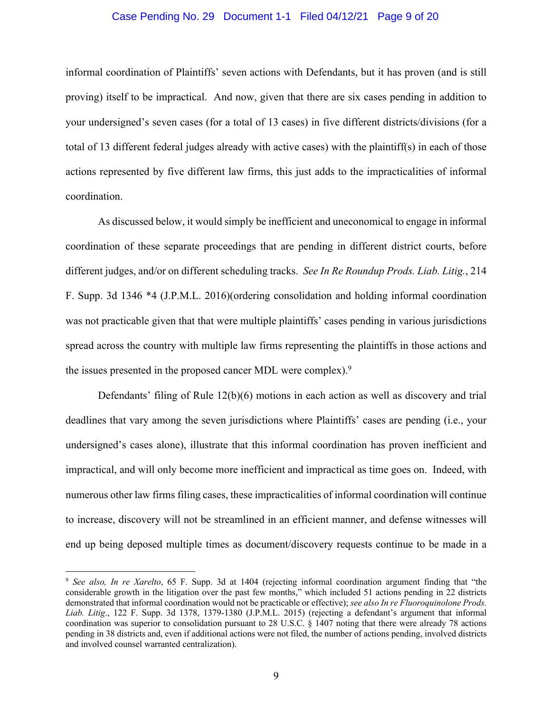#### Case Pending No. 29 Document 1-1 Filed 04/12/21 Page 9 of 20

informal coordination of Plaintiffs' seven actions with Defendants, but it has proven (and is still proving) itself to be impractical. And now, given that there are six cases pending in addition to your undersigned's seven cases (for a total of 13 cases) in five different districts/divisions (for a total of 13 different federal judges already with active cases) with the plaintiff(s) in each of those actions represented by five different law firms, this just adds to the impracticalities of informal coordination.

As discussed below, it would simply be inefficient and uneconomical to engage in informal coordination of these separate proceedings that are pending in different district courts, before different judges, and/or on different scheduling tracks. *See In Re Roundup Prods. Liab. Litig.*, 214 F. Supp. 3d 1346 \*4 (J.P.M.L. 2016)(ordering consolidation and holding informal coordination was not practicable given that that were multiple plaintiffs' cases pending in various jurisdictions spread across the country with multiple law firms representing the plaintiffs in those actions and the issues presented in the proposed cancer MDL were complex).<sup>9</sup>

Defendants' filing of Rule 12(b)(6) motions in each action as well as discovery and trial deadlines that vary among the seven jurisdictions where Plaintiffs' cases are pending (i.e., your undersigned's cases alone), illustrate that this informal coordination has proven inefficient and impractical, and will only become more inefficient and impractical as time goes on. Indeed, with numerous other law firms filing cases, these impracticalities of informal coordination will continue to increase, discovery will not be streamlined in an efficient manner, and defense witnesses will end up being deposed multiple times as document/discovery requests continue to be made in a

<sup>9</sup> *See also, In re Xarelto*, 65 F. Supp. 3d at 1404 (rejecting informal coordination argument finding that "the considerable growth in the litigation over the past few months," which included 51 actions pending in 22 districts demonstrated that informal coordination would not be practicable or effective); *see also In re Fluoroquinolone Prods. Liab. Litig*., 122 F. Supp. 3d 1378, 1379-1380 (J.P.M.L. 2015) (rejecting a defendant's argument that informal coordination was superior to consolidation pursuant to 28 U.S.C. § 1407 noting that there were already 78 actions pending in 38 districts and, even if additional actions were not filed, the number of actions pending, involved districts and involved counsel warranted centralization).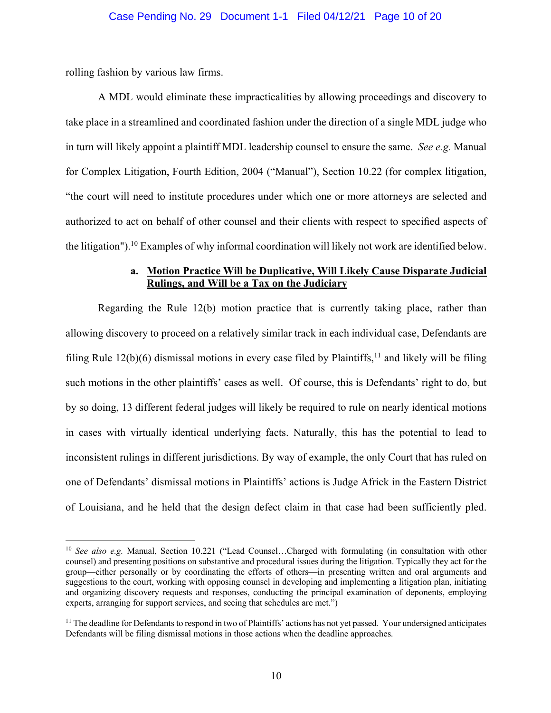rolling fashion by various law firms.

A MDL would eliminate these impracticalities by allowing proceedings and discovery to take place in a streamlined and coordinated fashion under the direction of a single MDL judge who in turn will likely appoint a plaintiff MDL leadership counsel to ensure the same. *See e.g.* Manual for Complex Litigation, Fourth Edition, 2004 ("Manual"), Section 10.22 (for complex litigation, "the court will need to institute procedures under which one or more attorneys are selected and authorized to act on behalf of other counsel and their clients with respect to specified aspects of the litigation").<sup>10</sup> Examples of why informal coordination will likely not work are identified below.

## **a. Motion Practice Will be Duplicative, Will Likely Cause Disparate Judicial Rulings, and Will be a Tax on the Judiciary**

Regarding the Rule 12(b) motion practice that is currently taking place, rather than allowing discovery to proceed on a relatively similar track in each individual case, Defendants are filing Rule  $12(b)(6)$  dismissal motions in every case filed by Plaintiffs,  $11$  and likely will be filing such motions in the other plaintiffs' cases as well. Of course, this is Defendants' right to do, but by so doing, 13 different federal judges will likely be required to rule on nearly identical motions in cases with virtually identical underlying facts. Naturally, this has the potential to lead to inconsistent rulings in different jurisdictions. By way of example, the only Court that has ruled on one of Defendants' dismissal motions in Plaintiffs' actions is Judge Africk in the Eastern District of Louisiana, and he held that the design defect claim in that case had been sufficiently pled.

<sup>10</sup> *See also e.g.* Manual, Section 10.221 ("Lead Counsel…Charged with formulating (in consultation with other counsel) and presenting positions on substantive and procedural issues during the litigation. Typically they act for the group—either personally or by coordinating the efforts of others—in presenting written and oral arguments and suggestions to the court, working with opposing counsel in developing and implementing a litigation plan, initiating and organizing discovery requests and responses, conducting the principal examination of deponents, employing experts, arranging for support services, and seeing that schedules are met.")

<sup>&</sup>lt;sup>11</sup> The deadline for Defendants to respond in two of Plaintiffs' actions has not yet passed. Your undersigned anticipates Defendants will be filing dismissal motions in those actions when the deadline approaches.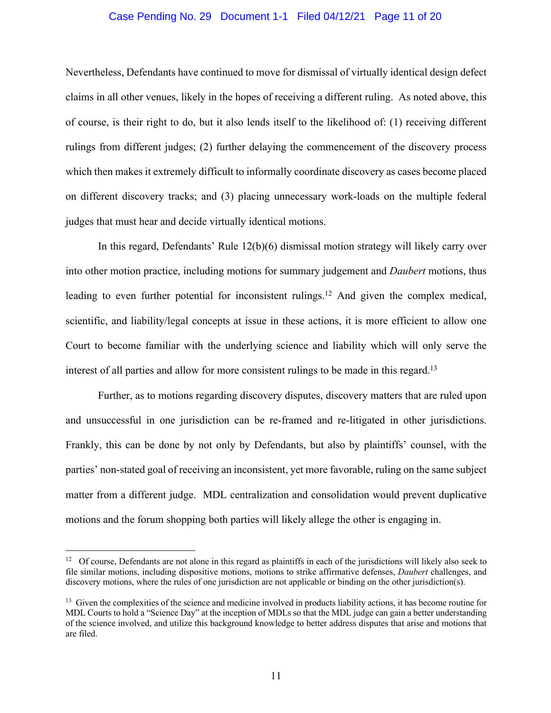#### Case Pending No. 29 Document 1-1 Filed 04/12/21 Page 11 of 20

Nevertheless, Defendants have continued to move for dismissal of virtually identical design defect claims in all other venues, likely in the hopes of receiving a different ruling. As noted above, this of course, is their right to do, but it also lends itself to the likelihood of: (1) receiving different rulings from different judges; (2) further delaying the commencement of the discovery process which then makes it extremely difficult to informally coordinate discovery as cases become placed on different discovery tracks; and (3) placing unnecessary work-loads on the multiple federal judges that must hear and decide virtually identical motions.

In this regard, Defendants' Rule 12(b)(6) dismissal motion strategy will likely carry over into other motion practice, including motions for summary judgement and *Daubert* motions, thus leading to even further potential for inconsistent rulings.<sup>12</sup> And given the complex medical, scientific, and liability/legal concepts at issue in these actions, it is more efficient to allow one Court to become familiar with the underlying science and liability which will only serve the interest of all parties and allow for more consistent rulings to be made in this regard.<sup>13</sup>

Further, as to motions regarding discovery disputes, discovery matters that are ruled upon and unsuccessful in one jurisdiction can be re-framed and re-litigated in other jurisdictions. Frankly, this can be done by not only by Defendants, but also by plaintiffs' counsel, with the parties' non-stated goal of receiving an inconsistent, yet more favorable, ruling on the same subject matter from a different judge. MDL centralization and consolidation would prevent duplicative motions and the forum shopping both parties will likely allege the other is engaging in.

<sup>&</sup>lt;sup>12</sup> Of course, Defendants are not alone in this regard as plaintiffs in each of the jurisdictions will likely also seek to file similar motions, including dispositive motions, motions to strike affirmative defenses, *Daubert* challenges, and discovery motions, where the rules of one jurisdiction are not applicable or binding on the other jurisdiction(s).

<sup>&</sup>lt;sup>13</sup> Given the complexities of the science and medicine involved in products liability actions, it has become routine for MDL Courts to hold a "Science Day" at the inception of MDLs so that the MDL judge can gain a better understanding of the science involved, and utilize this background knowledge to better address disputes that arise and motions that are filed.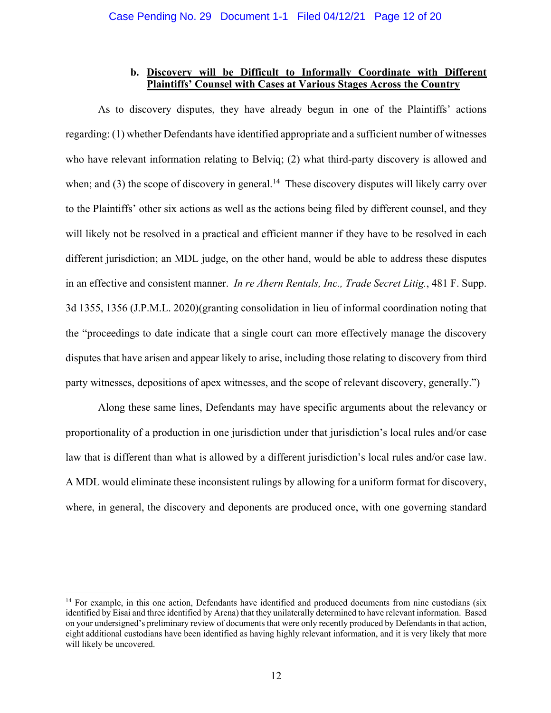## **b. Discovery will be Difficult to Informally Coordinate with Different Plaintiffs' Counsel with Cases at Various Stages Across the Country**

As to discovery disputes, they have already begun in one of the Plaintiffs' actions regarding: (1) whether Defendants have identified appropriate and a sufficient number of witnesses who have relevant information relating to Belviq; (2) what third-party discovery is allowed and when; and (3) the scope of discovery in general.<sup>14</sup> These discovery disputes will likely carry over to the Plaintiffs' other six actions as well as the actions being filed by different counsel, and they will likely not be resolved in a practical and efficient manner if they have to be resolved in each different jurisdiction; an MDL judge, on the other hand, would be able to address these disputes in an effective and consistent manner. *In re Ahern Rentals, Inc., Trade Secret Litig.*, 481 F. Supp. 3d 1355, 1356 (J.P.M.L. 2020)(granting consolidation in lieu of informal coordination noting that the "proceedings to date indicate that a single court can more effectively manage the discovery disputes that have arisen and appear likely to arise, including those relating to discovery from third party witnesses, depositions of apex witnesses, and the scope of relevant discovery, generally.")

Along these same lines, Defendants may have specific arguments about the relevancy or proportionality of a production in one jurisdiction under that jurisdiction's local rules and/or case law that is different than what is allowed by a different jurisdiction's local rules and/or case law. A MDL would eliminate these inconsistent rulings by allowing for a uniform format for discovery, where, in general, the discovery and deponents are produced once, with one governing standard

<sup>&</sup>lt;sup>14</sup> For example, in this one action, Defendants have identified and produced documents from nine custodians (six identified by Eisai and three identified by Arena) that they unilaterally determined to have relevant information. Based on your undersigned's preliminary review of documents that were only recently produced by Defendants in that action, eight additional custodians have been identified as having highly relevant information, and it is very likely that more will likely be uncovered.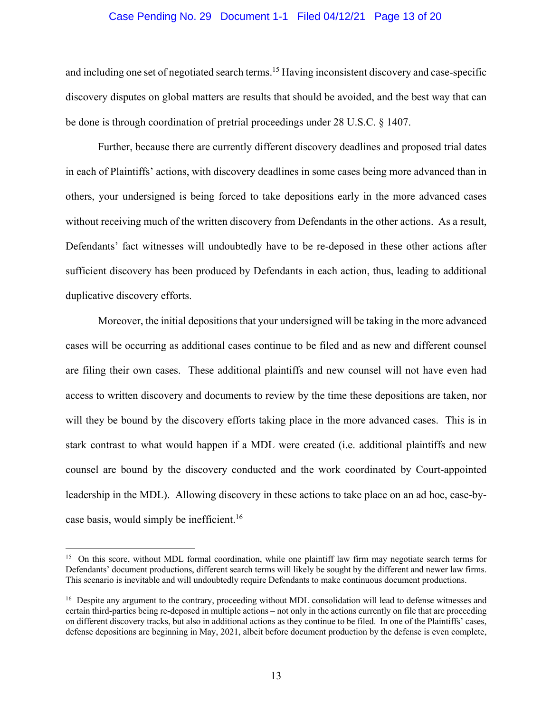#### Case Pending No. 29 Document 1-1 Filed 04/12/21 Page 13 of 20

and including one set of negotiated search terms.<sup>15</sup> Having inconsistent discovery and case-specific discovery disputes on global matters are results that should be avoided, and the best way that can be done is through coordination of pretrial proceedings under 28 U.S.C. § 1407.

Further, because there are currently different discovery deadlines and proposed trial dates in each of Plaintiffs' actions, with discovery deadlines in some cases being more advanced than in others, your undersigned is being forced to take depositions early in the more advanced cases without receiving much of the written discovery from Defendants in the other actions. As a result, Defendants' fact witnesses will undoubtedly have to be re-deposed in these other actions after sufficient discovery has been produced by Defendants in each action, thus, leading to additional duplicative discovery efforts.

Moreover, the initial depositions that your undersigned will be taking in the more advanced cases will be occurring as additional cases continue to be filed and as new and different counsel are filing their own cases. These additional plaintiffs and new counsel will not have even had access to written discovery and documents to review by the time these depositions are taken, nor will they be bound by the discovery efforts taking place in the more advanced cases. This is in stark contrast to what would happen if a MDL were created (i.e. additional plaintiffs and new counsel are bound by the discovery conducted and the work coordinated by Court-appointed leadership in the MDL). Allowing discovery in these actions to take place on an ad hoc, case-bycase basis, would simply be inefficient.<sup>16</sup>

<sup>&</sup>lt;sup>15</sup> On this score, without MDL formal coordination, while one plaintiff law firm may negotiate search terms for Defendants' document productions, different search terms will likely be sought by the different and newer law firms. This scenario is inevitable and will undoubtedly require Defendants to make continuous document productions.

<sup>&</sup>lt;sup>16</sup> Despite any argument to the contrary, proceeding without MDL consolidation will lead to defense witnesses and certain third-parties being re-deposed in multiple actions – not only in the actions currently on file that are proceeding on different discovery tracks, but also in additional actions as they continue to be filed. In one of the Plaintiffs' cases, defense depositions are beginning in May, 2021, albeit before document production by the defense is even complete,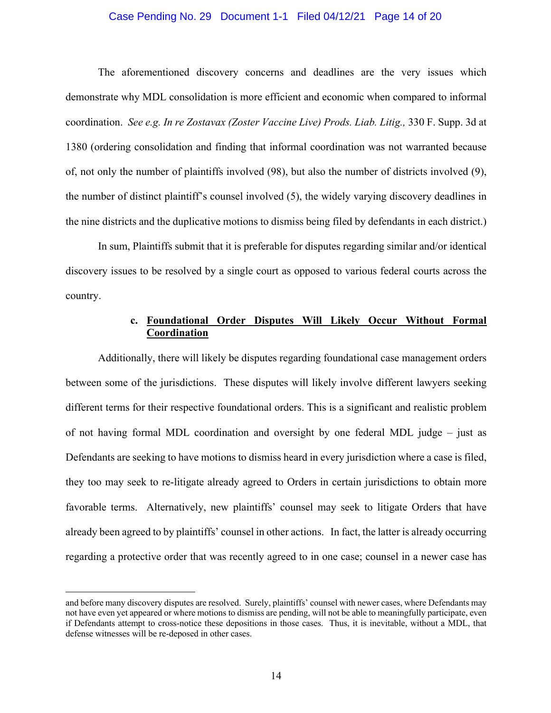#### Case Pending No. 29 Document 1-1 Filed 04/12/21 Page 14 of 20

The aforementioned discovery concerns and deadlines are the very issues which demonstrate why MDL consolidation is more efficient and economic when compared to informal coordination. *See e.g. In re Zostavax (Zoster Vaccine Live) Prods. Liab. Litig.,* 330 F. Supp. 3d at 1380 (ordering consolidation and finding that informal coordination was not warranted because of, not only the number of plaintiffs involved (98), but also the number of districts involved (9), the number of distinct plaintiff's counsel involved (5), the widely varying discovery deadlines in the nine districts and the duplicative motions to dismiss being filed by defendants in each district.)

In sum, Plaintiffs submit that it is preferable for disputes regarding similar and/or identical discovery issues to be resolved by a single court as opposed to various federal courts across the country.

## **c. Foundational Order Disputes Will Likely Occur Without Formal Coordination**

Additionally, there will likely be disputes regarding foundational case management orders between some of the jurisdictions. These disputes will likely involve different lawyers seeking different terms for their respective foundational orders. This is a significant and realistic problem of not having formal MDL coordination and oversight by one federal MDL judge – just as Defendants are seeking to have motions to dismiss heard in every jurisdiction where a case is filed, they too may seek to re-litigate already agreed to Orders in certain jurisdictions to obtain more favorable terms. Alternatively, new plaintiffs' counsel may seek to litigate Orders that have already been agreed to by plaintiffs' counsel in other actions. In fact, the latter is already occurring regarding a protective order that was recently agreed to in one case; counsel in a newer case has

and before many discovery disputes are resolved. Surely, plaintiffs' counsel with newer cases, where Defendants may not have even yet appeared or where motions to dismiss are pending, will not be able to meaningfully participate, even if Defendants attempt to cross-notice these depositions in those cases. Thus, it is inevitable, without a MDL, that defense witnesses will be re-deposed in other cases.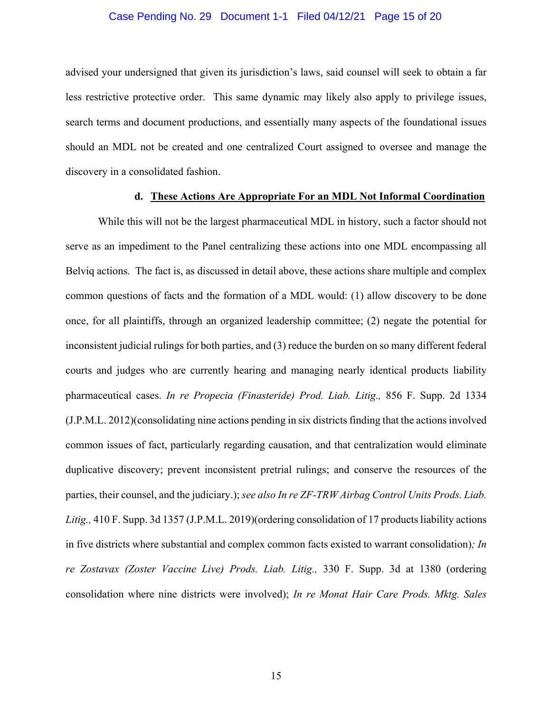#### Case Pending No. 29 Document 1-1 Filed 04/12/21 Page 15 of 20

advised your undersigned that given its jurisdiction's laws, said counsel will seek to obtain a far less restrictive protective order. This same dynamic may likely also apply to privilege issues, search terms and document productions, and essentially many aspects of the foundational issues should an MDL not be created and one centralized Court assigned to oversee and manage the discovery in a consolidated fashion.

#### **d. These Actions Are Appropriate For an MDL Not Informal Coordination**

While this will not be the largest pharmaceutical MDL in history, such a factor should not serve as an impediment to the Panel centralizing these actions into one MDL encompassing all Belviq actions. The fact is, as discussed in detail above, these actions share multiple and complex common questions of facts and the formation of a MDL would: (1) allow discovery to be done once, for all plaintiffs, through an organized leadership committee; (2) negate the potential for inconsistent judicial rulings for both parties, and (3) reduce the burden on so many different federal courts and judges who are currently hearing and managing nearly identical products liability pharmaceutical cases. *In re Propecia (Finasteride) Prod. Liab. Litig.,* 856 F. Supp. 2d 1334 (J.P.M.L. 2012)(consolidating nine actions pending in six districts finding that the actions involved common issues of fact, particularly regarding causation, and that centralization would eliminate duplicative discovery; prevent inconsistent pretrial rulings; and conserve the resources of the parties, their counsel, and the judiciary.); *see also In re ZF-TRW Airbag Control Units Prods. Liab. Litig.,* 410 F. Supp. 3d 1357 (J.P.M.L. 2019)(ordering consolidation of 17 products liability actions in five districts where substantial and complex common facts existed to warrant consolidation)*; In re Zostavax (Zoster Vaccine Live) Prods. Liab. Litig.,* 330 F. Supp. 3d at 1380 (ordering consolidation where nine districts were involved); *In re Monat Hair Care Prods. Mktg. Sales*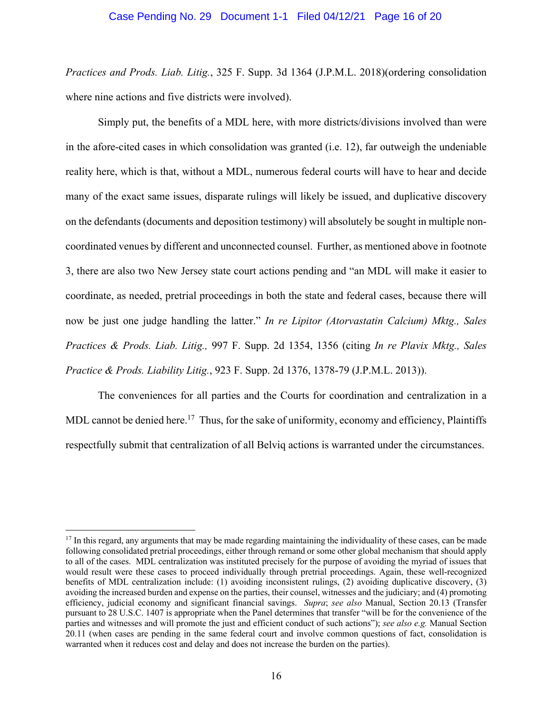#### Case Pending No. 29 Document 1-1 Filed 04/12/21 Page 16 of 20

*Practices and Prods. Liab. Litig.*, 325 F. Supp. 3d 1364 (J.P.M.L. 2018)(ordering consolidation where nine actions and five districts were involved).

Simply put, the benefits of a MDL here, with more districts/divisions involved than were in the afore-cited cases in which consolidation was granted (i.e. 12), far outweigh the undeniable reality here, which is that, without a MDL, numerous federal courts will have to hear and decide many of the exact same issues, disparate rulings will likely be issued, and duplicative discovery on the defendants (documents and deposition testimony) will absolutely be sought in multiple noncoordinated venues by different and unconnected counsel. Further, as mentioned above in footnote 3, there are also two New Jersey state court actions pending and "an MDL will make it easier to coordinate, as needed, pretrial proceedings in both the state and federal cases, because there will now be just one judge handling the latter." *In re Lipitor (Atorvastatin Calcium) Mktg., Sales Practices & Prods. Liab. Litig.,* 997 F. Supp. 2d 1354, 1356 (citing *In re Plavix Mktg., Sales Practice & Prods. Liability Litig.*, 923 F. Supp. 2d 1376, 1378-79 (J.P.M.L. 2013)).

The conveniences for all parties and the Courts for coordination and centralization in a MDL cannot be denied here.<sup>17</sup> Thus, for the sake of uniformity, economy and efficiency, Plaintiffs respectfully submit that centralization of all Belviq actions is warranted under the circumstances.

 $17$  In this regard, any arguments that may be made regarding maintaining the individuality of these cases, can be made following consolidated pretrial proceedings, either through remand or some other global mechanism that should apply to all of the cases. MDL centralization was instituted precisely for the purpose of avoiding the myriad of issues that would result were these cases to proceed individually through pretrial proceedings. Again, these well-recognized benefits of MDL centralization include: (1) avoiding inconsistent rulings, (2) avoiding duplicative discovery, (3) avoiding the increased burden and expense on the parties, their counsel, witnesses and the judiciary; and (4) promoting efficiency, judicial economy and significant financial savings. *Supra*; *see also* Manual, Section 20.13 (Transfer pursuant to 28 U.S.C. 1407 is appropriate when the Panel determines that transfer "will be for the convenience of the parties and witnesses and will promote the just and efficient conduct of such actions"); *see also e.g.* Manual Section 20.11 (when cases are pending in the same federal court and involve common questions of fact, consolidation is warranted when it reduces cost and delay and does not increase the burden on the parties).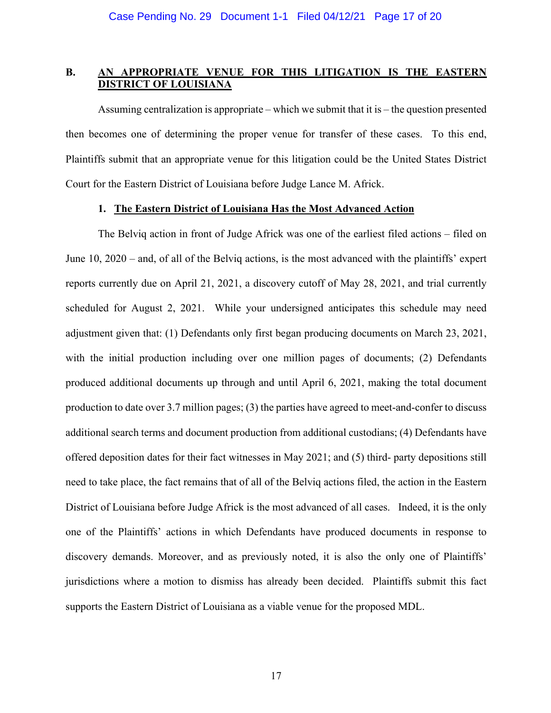## **B. AN APPROPRIATE VENUE FOR THIS LITIGATION IS THE EASTERN DISTRICT OF LOUISIANA**

Assuming centralization is appropriate – which we submit that it is – the question presented then becomes one of determining the proper venue for transfer of these cases. To this end, Plaintiffs submit that an appropriate venue for this litigation could be the United States District Court for the Eastern District of Louisiana before Judge Lance M. Africk.

### **1. The Eastern District of Louisiana Has the Most Advanced Action**

The Belviq action in front of Judge Africk was one of the earliest filed actions – filed on June 10, 2020 – and, of all of the Belviq actions, is the most advanced with the plaintiffs' expert reports currently due on April 21, 2021, a discovery cutoff of May 28, 2021, and trial currently scheduled for August 2, 2021. While your undersigned anticipates this schedule may need adjustment given that: (1) Defendants only first began producing documents on March 23, 2021, with the initial production including over one million pages of documents; (2) Defendants produced additional documents up through and until April 6, 2021, making the total document production to date over 3.7 million pages; (3) the parties have agreed to meet-and-confer to discuss additional search terms and document production from additional custodians; (4) Defendants have offered deposition dates for their fact witnesses in May 2021; and (5) third- party depositions still need to take place, the fact remains that of all of the Belviq actions filed, the action in the Eastern District of Louisiana before Judge Africk is the most advanced of all cases. Indeed, it is the only one of the Plaintiffs' actions in which Defendants have produced documents in response to discovery demands. Moreover, and as previously noted, it is also the only one of Plaintiffs' jurisdictions where a motion to dismiss has already been decided. Plaintiffs submit this fact supports the Eastern District of Louisiana as a viable venue for the proposed MDL.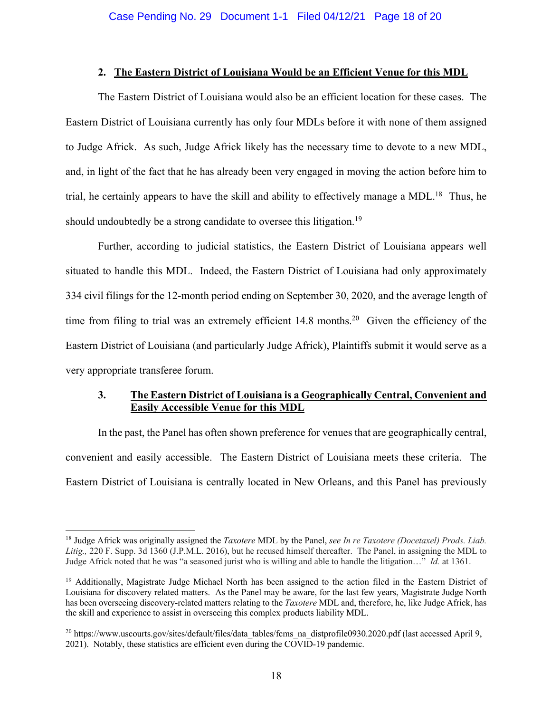#### **2. The Eastern District of Louisiana Would be an Efficient Venue for this MDL**

The Eastern District of Louisiana would also be an efficient location for these cases. The Eastern District of Louisiana currently has only four MDLs before it with none of them assigned to Judge Africk. As such, Judge Africk likely has the necessary time to devote to a new MDL, and, in light of the fact that he has already been very engaged in moving the action before him to trial, he certainly appears to have the skill and ability to effectively manage a MDL.<sup>18</sup> Thus, he should undoubtedly be a strong candidate to oversee this litigation.<sup>19</sup>

Further, according to judicial statistics, the Eastern District of Louisiana appears well situated to handle this MDL. Indeed, the Eastern District of Louisiana had only approximately 334 civil filings for the 12-month period ending on September 30, 2020, and the average length of time from filing to trial was an extremely efficient  $14.8$  months.<sup>20</sup> Given the efficiency of the Eastern District of Louisiana (and particularly Judge Africk), Plaintiffs submit it would serve as a very appropriate transferee forum.

# **3. The Eastern District of Louisiana is a Geographically Central, Convenient and Easily Accessible Venue for this MDL**

In the past, the Panel has often shown preference for venues that are geographically central, convenient and easily accessible. The Eastern District of Louisiana meets these criteria. The Eastern District of Louisiana is centrally located in New Orleans, and this Panel has previously

<sup>18</sup> Judge Africk was originally assigned the *Taxotere* MDL by the Panel, *see In re Taxotere (Docetaxel) Prods. Liab. Litig.,* 220 F. Supp. 3d 1360 (J.P.M.L. 2016), but he recused himself thereafter. The Panel, in assigning the MDL to Judge Africk noted that he was "a seasoned jurist who is willing and able to handle the litigation…" *Id.* at 1361.

<sup>&</sup>lt;sup>19</sup> Additionally, Magistrate Judge Michael North has been assigned to the action filed in the Eastern District of Louisiana for discovery related matters. As the Panel may be aware, for the last few years, Magistrate Judge North has been overseeing discovery-related matters relating to the *Taxotere* MDL and, therefore, he, like Judge Africk, has the skill and experience to assist in overseeing this complex products liability MDL.

<sup>&</sup>lt;sup>20</sup> https://www.uscourts.gov/sites/default/files/data\_tables/fcms\_na\_distprofile0930.2020.pdf (last accessed April 9, 2021). Notably, these statistics are efficient even during the COVID-19 pandemic.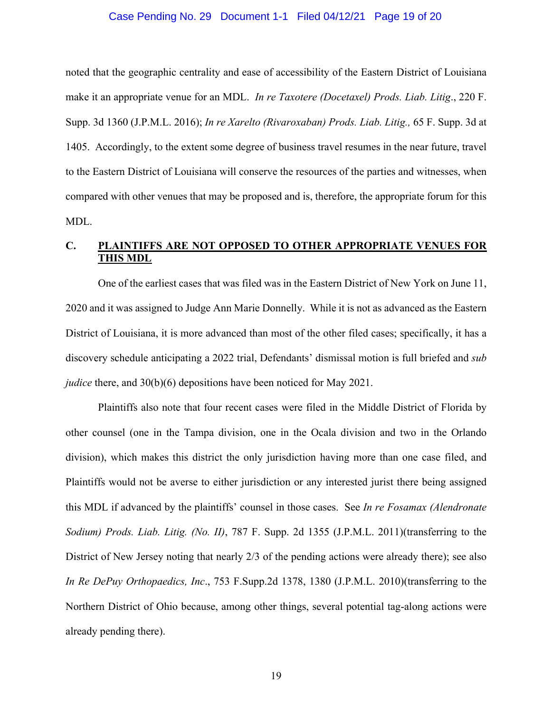#### Case Pending No. 29 Document 1-1 Filed 04/12/21 Page 19 of 20

noted that the geographic centrality and ease of accessibility of the Eastern District of Louisiana make it an appropriate venue for an MDL. *In re Taxotere (Docetaxel) Prods. Liab. Litig*., 220 F. Supp. 3d 1360 (J.P.M.L. 2016); *In re Xarelto (Rivaroxaban) Prods. Liab. Litig.,* 65 F. Supp. 3d at 1405. Accordingly, to the extent some degree of business travel resumes in the near future, travel to the Eastern District of Louisiana will conserve the resources of the parties and witnesses, when compared with other venues that may be proposed and is, therefore, the appropriate forum for this MDL.

# **C. PLAINTIFFS ARE NOT OPPOSED TO OTHER APPROPRIATE VENUES FOR THIS MDL**

One of the earliest cases that was filed was in the Eastern District of New York on June 11, 2020 and it was assigned to Judge Ann Marie Donnelly. While it is not as advanced as the Eastern District of Louisiana, it is more advanced than most of the other filed cases; specifically, it has a discovery schedule anticipating a 2022 trial, Defendants' dismissal motion is full briefed and *sub judice* there, and 30(b)(6) depositions have been noticed for May 2021.

Plaintiffs also note that four recent cases were filed in the Middle District of Florida by other counsel (one in the Tampa division, one in the Ocala division and two in the Orlando division), which makes this district the only jurisdiction having more than one case filed, and Plaintiffs would not be averse to either jurisdiction or any interested jurist there being assigned this MDL if advanced by the plaintiffs' counsel in those cases. See *In re Fosamax (Alendronate Sodium) Prods. Liab. Litig. (No. II)*, 787 F. Supp. 2d 1355 (J.P.M.L. 2011)(transferring to the District of New Jersey noting that nearly 2/3 of the pending actions were already there); see also *In Re DePuy Orthopaedics, Inc*., 753 F.Supp.2d 1378, 1380 (J.P.M.L. 2010)(transferring to the Northern District of Ohio because, among other things, several potential tag-along actions were already pending there).